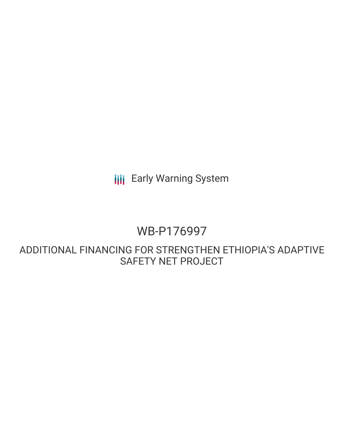**III** Early Warning System

# WB-P176997

ADDITIONAL FINANCING FOR STRENGTHEN ETHIOPIA'S ADAPTIVE SAFETY NET PROJECT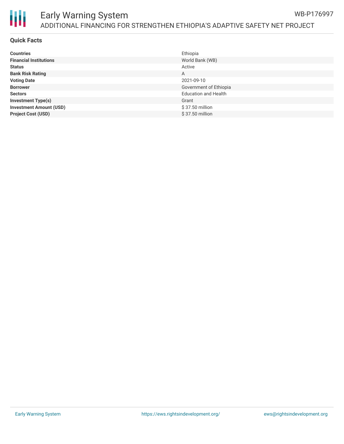

#### Early Warning System ADDITIONAL FINANCING FOR STRENGTHEN ETHIOPIA'S ADAPTIVE SAFETY NET PROJECT WB-P176997

### **Quick Facts**

| <b>Countries</b>               | Ethiopia                    |
|--------------------------------|-----------------------------|
| <b>Financial Institutions</b>  | World Bank (WB)             |
| <b>Status</b>                  | Active                      |
| <b>Bank Risk Rating</b>        | A                           |
| <b>Voting Date</b>             | 2021-09-10                  |
| <b>Borrower</b>                | Government of Ethiopia      |
| <b>Sectors</b>                 | <b>Education and Health</b> |
| <b>Investment Type(s)</b>      | Grant                       |
| <b>Investment Amount (USD)</b> | \$37.50 million             |
| <b>Project Cost (USD)</b>      | \$37.50 million             |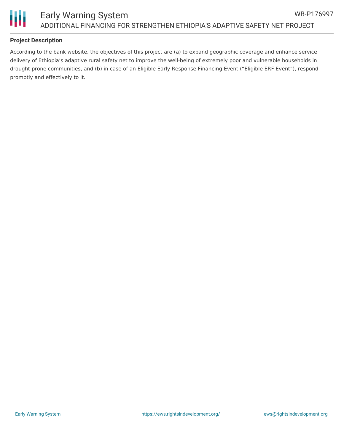

# **Project Description**

According to the bank website, the objectives of this project are (a) to expand geographic coverage and enhance service delivery of Ethiopia's adaptive rural safety net to improve the well-being of extremely poor and vulnerable households in drought prone communities, and (b) in case of an Eligible Early Response Financing Event ("Eligible ERF Event"), respond promptly and effectively to it.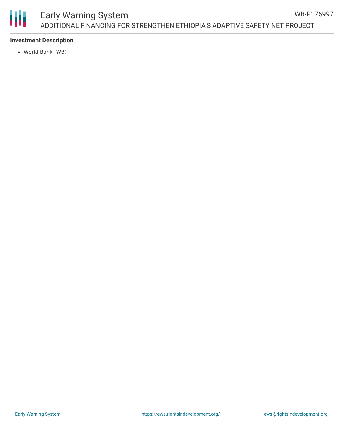

# **Investment Description**

World Bank (WB)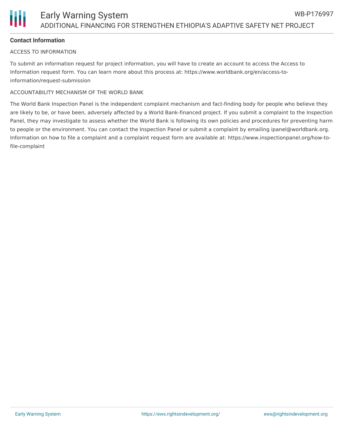# **Contact Information**

### ACCESS TO INFORMATION

To submit an information request for project information, you will have to create an account to access the Access to Information request form. You can learn more about this process at: https://www.worldbank.org/en/access-toinformation/request-submission

### ACCOUNTABILITY MECHANISM OF THE WORLD BANK

The World Bank Inspection Panel is the independent complaint mechanism and fact-finding body for people who believe they are likely to be, or have been, adversely affected by a World Bank-financed project. If you submit a complaint to the Inspection Panel, they may investigate to assess whether the World Bank is following its own policies and procedures for preventing harm to people or the environment. You can contact the Inspection Panel or submit a complaint by emailing ipanel@worldbank.org. Information on how to file a complaint and a complaint request form are available at: https://www.inspectionpanel.org/how-tofile-complaint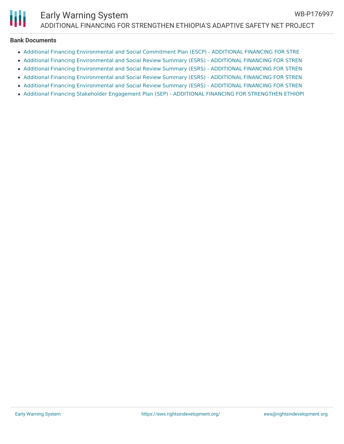

#### **Bank Documents**

- Additional Financing [Environmental](http://documents.worldbank.org/curated/en/888411627298674308/Additional-Financing-Environmental-and-Social-Commitment-Plan-ESCP-ADDITIONAL-FINANCING-FOR-STRENGTHEN-ETHIOPIA-S-ADAPTIVE-SAFETY-NET-PROJE) and Social Commitment Plan (ESCP) ADDITIONAL FINANCING FOR STRE
- Additional Financing [Environmental](http://documents.worldbank.org/curated/en/166671627465519103/Project-Information-Document-ADDITIONAL-FINANCING-FOR-STRENGTHEN-ETHIOPIA-S-ADAPTIVE-SAFETY-NET-PROJECT-P176997) and Social Review Summary (ESRS) ADDITIONAL FINANCING FOR STREN
- Additional Financing [Environmental](http://documents.worldbank.org/curated/en/422371627298709275/Additional-Financing-Environmental-and-Social-Review-Summary-ESRS-ADDITIONAL-FINANCING-FOR-STRENGTHEN-ETHIOPIA-S-ADAPTIVE-SAFETY-NET-PROJEC) and Social Review Summary (ESRS) ADDITIONAL FINANCING FOR STREN
- Additional Financing [Environmental](http://documents.worldbank.org/curated/en/685741624819594351/Additional-Financing-Environmental-and-Social-Review-Summary-ESRS-ADDITIONAL-FINANCING-FOR-STRENGTHEN-ETHIOPIA-S-ADAPTIVE-SAFETY-NET-PROJEC) and Social Review Summary (ESRS) ADDITIONAL FINANCING FOR STREN
- Additional Financing [Environmental](http://documents.worldbank.org/curated/en/566091624396613835/Additional-Financing-Environmental-and-Social-Review-Summary-ESRS-ADDITIONAL-FINANCING-FOR-STRENGTHEN-ETHIOPIA-S-ADAPTIVE-SAFETY-NET-PROJEC) and Social Review Summary (ESRS) ADDITIONAL FINANCING FOR STREN
- Additional Financing Stakeholder Engagement Plan (SEP) ADDITIONAL FINANCING FOR [STRENGTHEN](http://documents.worldbank.org/curated/en/189961627298691274/Additional-Financing-Stakeholder-Engagement-Plan-SEP-ADDITIONAL-FINANCING-FOR-STRENGTHEN-ETHIOPIA-S-ADAPTIVE-SAFETY-NET-PROJECT-P176997) ETHIOPI